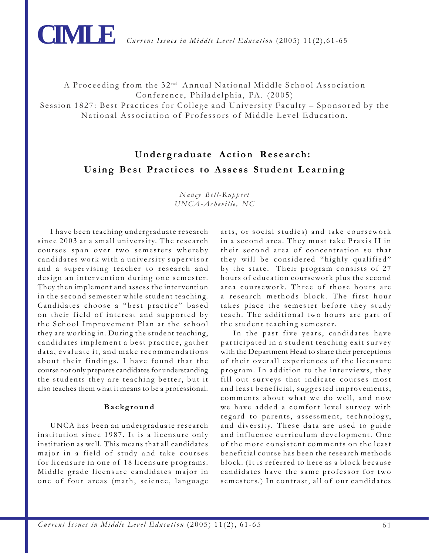

A Proceeding from the 32<sup>nd</sup> Annual National Middle School Association Conference, Philadelphia, PA. (2005) Session 1827: Best Practices for College and University Faculty – Sponsored by the National Association of Professors of Middle Level Education.

# **Undergraduate Action Research: Using Best Practices to Assess Student Learning**

## *Nancy Bell-Ruppert UNCA-Asheville, NC*

I have been teaching undergraduate research since 2003 at a small university. The research courses span over two semesters whereby candidates work with a university supervisor and a supervising teacher to research and design an intervention during one semester. They then implement and assess the intervention in the second semester while student teaching. Candidates choose a "best practice" based on their field of interest and supported by the School Improvement Plan at the school they are working in. During the student teaching, candidates implement a best practice, gather data, evaluate it, and make recommendations about their findings. I have found that the course not only prepares candidates for understanding the students they are teaching better, but it also teaches them what it means to be a professional.

### **Background**

UNCA has been an undergraduate research institution since 1987. It is a licensure only institution as well. This means that all candidates major in a field of study and take courses for licensure in one of 18 licensure programs. Middle grade licensure candidates major in one of four areas (math, science, language arts, or social studies) and take coursework in a second area. They must take Praxis II in their second area of concentration so that they will be considered "highly qualified" by the state. Their program consists of 27 hours of education coursework plus the second area coursework. Three of those hours are a research methods block. The first hour takes place the semester before they study teach. The additional two hours are part of the student teaching semester.

In the past five years, candidates have participated in a student teaching exit survey with the Department Head to share their perceptions of their overall experiences of the licensure program. In addition to the interviews, they fill out surveys that indicate courses most and least beneficial, suggested improvements, comments about what we do well, and now we have added a comfort level survey with regard to parents, assessment, technology, and diversity. These data are used to guide and influence curriculum development. One of the more consistent comments on the least beneficial course has been the research methods block. (It is referred to here as a block because candidates have the same professor for two semesters.) In contrast, all of our candidates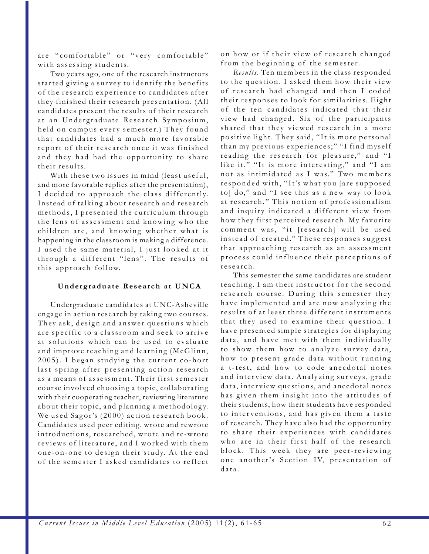are "comfortable" or "very comfortable" with assessing students.

Two years ago, one of the research instructors started giving a survey to identify the benefits of the research experience to candidates after they finished their research presentation. (All candidates present the results of their research at an Undergraduate Research Symposium, held on campus every semester.) They found that candidates had a much more favorable report of their research once it was finished and they had had the opportunity to share their results.

With these two issues in mind (least useful, and more favorable replies after the presentation), I decided to approach the class differently. Instead of talking about research and research methods, I presented the curriculum through the lens of assessment and knowing who the children are, and knowing whether what is happening in the classroom is making a difference. I used the same material, I just looked at it through a different "lens". The results of this approach follow.

### **Undergraduate Research at UNCA**

Undergraduate candidates at UNC-Asheville engage in action research by taking two courses. They ask, design and answer questions which are specific to a classroom and seek to arrive at solutions which can be used to evaluate and improve teaching and learning (McGlinn, 2005). I began studying the current co-hort last spring after presenting action research as a means of assessment. Their first semester course involved choosing a topic, collaborating with their cooperating teacher, reviewing literature about their topic, and planning a methodology. We used Sagor's (2000) action research book. Candidates used peer editing, wrote and rewrote introductions, researched, wrote and re-wrote reviews of literature, and I worked with them one-on-one to design their study. At the end of the semester I asked candidates to reflect

on how or if their view of research changed from the beginning of the semester.

*Results.* Ten members in the class responded to the question. I asked them how their view of research had changed and then I coded their responses to look for similarities. Eight of the ten candidates indicated that their view had changed. Six of the participants shared that they viewed research in a more positive light. They said, "It is more personal than my previous experiences;" "I find myself reading the research for pleasure," and "I like it." "It is more interesting," and "I am not as intimidated as I was." Two members responded with, "It's what you [are supposed to] do," and "I see this as a new way to look at research." This notion of professionalism and inquiry indicated a different view from how they first perceived research. My favorite comment was, "it [research] will be used instead of created." These responses suggest that approaching research as an assessment process could influence their perceptions of research.

This semester the same candidates are student teaching. I am their instructor for the second research course. During this semester they have implemented and are now analyzing the results of at least three different instruments that they used to examine their question. I have presented simple strategies for displaying data, and have met with them individually to show them how to analyze survey data, how to present grade data without running a t-test, and how to code anecdotal notes and interview data. Analyzing surveys, grade data, interview questions, and anecdotal notes has given them insight into the attitudes of their students, how their students have responded to interventions, and has given them a taste of research. They have also had the opportunity to share their experiences with candidates who are in their first half of the research block. This week they are peer-reviewing one another's Section IV, presentation of data.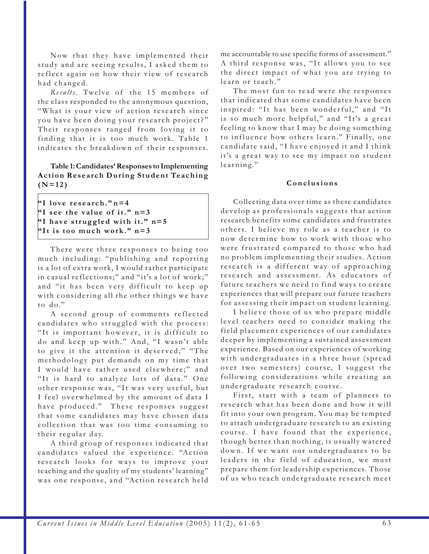Now that they have implemented their study and are seeing results, I asked them to reflect again on how their view of research had changed.

*Results.* Twelve of the 15 members of the class responded to the anonymous question, "What is your view of action research since you have been doing your research project?" Their responses ranged from loving it to finding that it is too much work. Table 1 indicates the breakdown of their responses.

**Table 1: Candidates' Responses to Implementing Action Research During Student Teaching (N=12)**

- **"I love research."n=4 "I see the value of it." n=3 "I have struggled with it." n=5**
- **"It is too much work." n=3**

There were three responses to being too much including: "publishing and reporting is a lot of extra work, I would rather participate in casual reflections;" and "it's a lot of work;" and "it has been very difficult to keep up with considering all the other things we have to do."

A second group of comments reflected candidates who struggled with the process: "It is important however, it is difficult to do and keep up with." And, "I wasn't able to give it the attention it deserved;" "The methodology put demands on my time that I would have rather used elsewhere;" and "It is hard to analyze lots of data." One other response was, "It was very useful, but I feel overwhelmed by the amount of data I have produced." These responses suggest that some candidates may have chosen data collection that was too time consuming to their regular day.

A third group of responses indicated that candidates valued the experience. "Action research looks for ways to improve your teaching and the quality of my students' learning" was one response, and "Action research held me accountable to use specific forms of assessment." A third response was, "It allows you to see the direct impact of what you are trying to learn or teach."

The most fun to read were the responses that indicated that some candidates have been inspired: "It has been wonderful," and "It is so much more helpful," and "It's a great feeling to know that I may be doing something to influence how others learn." Finally, one candidate said, "I have enjoyed it and I think it's a great way to see my impact on student learning."

## **Conclusions**

Collecting data over time as these candidates develop as professionals suggests that action research benefits some candidates and frustrates others. I believe my role as a teacher is to now determine how to work with those who were frustrated compared to those who had no problem implementing their studies. Action research is a different way of approaching research and assessment. As educators of future teachers we need to find ways to create experiences that will prepare our future teachers for assessing their impact on student learning.

I believe those of us who prepare middle level teachers need to consider making the field placement experiences of our candidates deeper by implementing a sustained assessment experience. Based on our experiences of working with undergraduates in a three hour (spread over two semesters) course, I suggest the following considerations while creating an undergraduate research course.

First, start with a team of planners to research what has been done and how it will fit into your own program. You may be tempted to attach undergraduate research to an existing course. I have found that the experience, though better than nothing, is usually watered down. If we want our undergraduates to be leaders in the field of education, we must prepare them for leadership experiences. Those of us who teach undergraduate research meet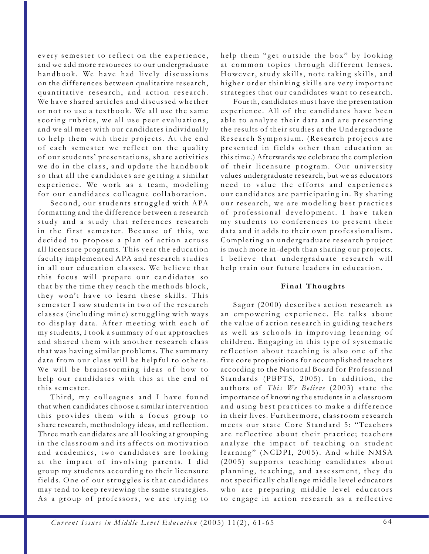every semester to reflect on the experience, and we add more resources to our undergraduate handbook. We have had lively discussions on the differences between qualitative research, quantitative research, and action research. We have shared articles and discussed whether or not to use a textbook. We all use the same scoring rubrics, we all use peer evaluations, and we all meet with our candidates individually to help them with their projects. At the end of each semester we reflect on the quality of our students' presentations, share activities we do in the class, and update the handbook so that all the candidates are getting a similar experience. We work as a team, modeling for our candidates colleague collaboration.

Second, our students struggled with APA formatting and the difference between a research study and a study that references research in the first semester. Because of this, we decided to propose a plan of action across all licensure programs. This year the education faculty implemented APA and research studies in all our education classes. We believe that this focus will prepare our candidates so that by the time they reach the methods block, they won't have to learn these skills. This semester I saw students in two of the research classes (including mine) struggling with ways to display data. After meeting with each of my students, I took a summary of our approaches and shared them with another research class that was having similar problems. The summary data from our class will be helpful to others. We will be brainstorming ideas of how to help our candidates with this at the end of this semester.

Third, my colleagues and I have found that when candidates choose a similar intervention this provides them with a focus group to share research, methodology ideas, and reflection. Three math candidates are all looking at grouping in the classroom and its affects on motivation and academics, two candidates are looking at the impact of involving parents. I did group my students according to their licensure fields. One of our struggles is that candidates may tend to keep reviewing the same strategies. As a group of professors, we are trying to

help them "get outside the box" by looking at common topics through different lenses. However, study skills, note taking skills, and higher order thinking skills are very important strategies that our candidates want to research.

Fourth, candidates must have the presentation experience. All of the candidates have been able to analyze their data and are presenting the results of their studies at the Undergraduate Research Symposium. (Research projects are presented in fields other than education at this time.) Afterwards we celebrate the completion of their licensure program. Our university values undergraduate research, but we as educators need to value the efforts and experiences our candidates are participating in. By sharing our research, we are modeling best practices of professional development. I have taken my students to conferences to present their data and it adds to their own professionalism. Completing an undergraduate research project is much more in-depth than sharing our projects. I believe that undergraduate research will help train our future leaders in education.

### **Final Thoughts**

Sagor (2000) describes action research as an empowering experience. He talks about the value of action research in guiding teachers as well as schools in improving learning of children. Engaging in this type of systematic reflection about teaching is also one of the five core propositions for accomplished teachers according to the National Board for Professional Standards (PBPTS, 2005). In addition, the authors of *This We Believe* (2003) state the importance of knowing the students in a classroom and using best practices to make a difference in their lives. Furthermore, classroom research meets our state Core Standard 5: "Teachers are reflective about their practice; teachers analyze the impact of teaching on student learning" (NCDPI, 2005). And while NMSA (2005) supports teaching candidates about planning, teaching, and assessment, they do not specifically challenge middle level educators who are preparing middle level educators to engage in action research as a reflective